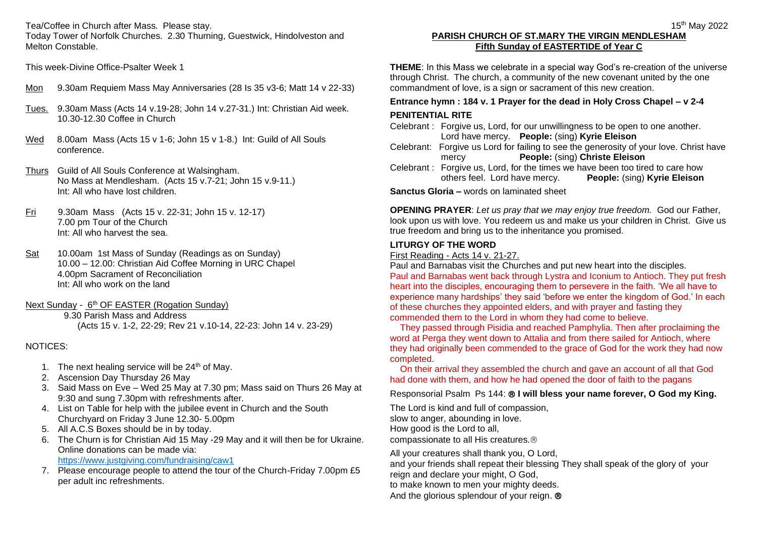Tea/Coffee in Church after Mass. Please stay.

Today Tower of Norfolk Churches. 2.30 Thurning, Guestwick, Hindolveston and Melton Constable.

This week-Divine Office-Psalter Week 1

- Mon 9.30am Requiem Mass May Anniversaries (28 Is 35 v3-6; Matt 14 v 22-33)
- Tues. 9.30am Mass (Acts 14 v.19-28; John 14 v.27-31.) Int: Christian Aid week. 10.30-12.30 Coffee in Church
- Wed 8.00am Mass (Acts 15 v 1-6; John 15 v 1-8.) Int: Guild of All Souls conference.
- Thurs Guild of All Souls Conference at Walsingham. No Mass at Mendlesham. (Acts 15 v.7-21; John 15 v.9-11.) Int: All who have lost children.
- Fri 9.30am Mass (Acts 15 v. 22-31; John 15 v. 12-17) 7.00 pm Tour of the Church Int: All who harvest the sea.
- Sat 10.00am 1st Mass of Sunday (Readings as on Sunday) 10.00 – 12.00: Christian Aid Coffee Morning in URC Chapel 4.00pm Sacrament of Reconciliation Int: All who work on the land
- Next Sunday 6<sup>th</sup> OF EASTER (Rogation Sunday) 9.30 Parish Mass and Address (Acts 15 v. 1-2, 22-29; Rev 21 v.10-14, 22-23: John 14 v. 23-29)

# NOTICES:

- 1. The next healing service will be  $24<sup>th</sup>$  of May.
- 2. Ascension Day Thursday 26 May
- 3. Said Mass on Eve Wed 25 May at 7.30 pm; Mass said on Thurs 26 May at 9:30 and sung 7.30pm with refreshments after.
- 4. List on Table for help with the jubilee event in Church and the South Churchyard on Friday 3 June 12.30- 5.00pm
- 5. All A.C.S Boxes should be in by today.
- 6. The Churn is for Christian Aid 15 May -29 May and it will then be for Ukraine. Online donations can be made via: <https://www.justgiving.com/fundraising/caw1>
- 7. Please encourage people to attend the tour of the Church-Friday 7.00pm £5 per adult inc refreshments.

# **PARISH CHURCH OF ST.MARY THE VIRGIN MENDLESHAM Fifth Sunday of EASTERTIDE of Year C**

**THEME**: In this Mass we celebrate in a special way God's re-creation of the universe through Christ. The church, a community of the new covenant united by the one commandment of love, is a sign or sacrament of this new creation.

### **Entrance hymn : 184 v. 1 Prayer for the dead in Holy Cross Chapel – v 2-4**

# **PENITENTIAL RITE**

| Celebrant: Forgive us, Lord, for our unwillingness to be open to one another.          |  |  |
|----------------------------------------------------------------------------------------|--|--|
| Lord have mercy. People: (sing) Kyrie Eleison                                          |  |  |
| Celebrant: Forgive us Lord for failing to see the generosity of your love. Christ have |  |  |
| People: (sing) Christe Eleison<br>mercy                                                |  |  |
| Celebrant: Forgive us, Lord, for the times we have been too tired to care how          |  |  |
| People: (sing) Kyrie Eleison<br>others feel. Lord have mercy.                          |  |  |
|                                                                                        |  |  |

**Sanctus Gloria –** words on laminated sheet

**OPENING PRAYER**: *Let us pray that we may enjoy true freedom.* God our Father, look upon us with love. You redeem us and make us your children in Christ. Give us true freedom and bring us to the inheritance you promised.

## **LITURGY OF THE WORD**

### First Reading - Acts 14 v. 21-27.

Paul and Barnabas visit the Churches and put new heart into the disciples. Paul and Barnabas went back through Lystra and Iconium to Antioch. They put fresh heart into the disciples, encouraging them to persevere in the faith. 'We all have to experience many hardships' they said 'before we enter the kingdom of God.' In each of these churches they appointed elders, and with prayer and fasting they commended them to the Lord in whom they had come to believe.

 They passed through Pisidia and reached Pamphylia. Then after proclaiming the word at Perga they went down to Attalia and from there sailed for Antioch, where they had originally been commended to the grace of God for the work they had now completed.

 On their arrival they assembled the church and gave an account of all that God had done with them, and how he had opened the door of faith to the pagans

## Responsorial Psalm Ps 144: **I will bless your name forever, O God my King.**

The Lord is kind and full of compassion, slow to anger, abounding in love. How good is the Lord to all, compassionate to all His creatures. All your creatures shall thank you, O Lord, and your friends shall repeat their blessing They shall speak of the glory of your reign and declare your might, O God, to make known to men your mighty deeds.

And the glorious splendour of your reign. ®

15th May 2022